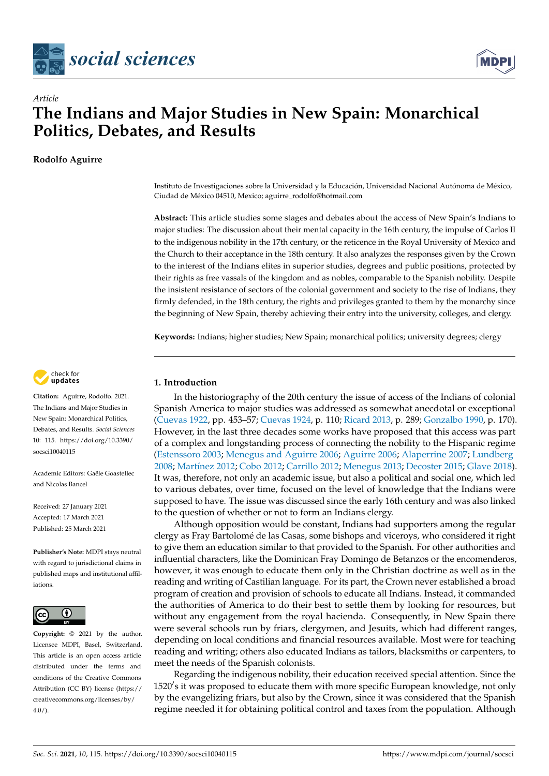



# *Article* **The Indians and Major Studies in New Spain: Monarchical Politics, Debates, and Results**

# **Rodolfo Aguirre**

Instituto de Investigaciones sobre la Universidad y la Educación, Universidad Nacional Autónoma de México, Ciudad de México 04510, Mexico; aguirre\_rodolfo@hotmail.com

**Abstract:** This article studies some stages and debates about the access of New Spain's Indians to major studies: The discussion about their mental capacity in the 16th century, the impulse of Carlos II to the indigenous nobility in the 17th century, or the reticence in the Royal University of Mexico and the Church to their acceptance in the 18th century. It also analyzes the responses given by the Crown to the interest of the Indians elites in superior studies, degrees and public positions, protected by their rights as free vassals of the kingdom and as nobles, comparable to the Spanish nobility. Despite the insistent resistance of sectors of the colonial government and society to the rise of Indians, they firmly defended, in the 18th century, the rights and privileges granted to them by the monarchy since the beginning of New Spain, thereby achieving their entry into the university, colleges, and clergy.

**Keywords:** Indians; higher studies; New Spain; monarchical politics; university degrees; clergy

# **1. Introduction**

In the historiography of the 20th century the issue of access of the Indians of colonial Spanish America to major studies was addressed as somewhat anecdotal or exceptional [\(Cuevas](#page-15-0) [1922,](#page-15-0) pp. 453–57; [Cuevas](#page-15-1) [1924,](#page-15-1) p. 110; [Ricard](#page-17-0) [2013,](#page-17-0) p. 289; [Gonzalbo](#page-16-0) [1990,](#page-16-0) p. 170). However, in the last three decades some works have proposed that this access was part of a complex and longstanding process of connecting the nobility to the Hispanic regime [\(Estenssoro](#page-15-2) [2003;](#page-15-2) [Menegus and Aguirre](#page-16-1) [2006;](#page-16-1) [Aguirre](#page-15-3) [2006;](#page-15-3) [Alaperrine](#page-15-4) [2007;](#page-15-4) [Lundberg](#page-16-2) [2008;](#page-16-2) [Mart](#page-16-3)ínez [2012;](#page-16-3) [Cobo](#page-15-5) [2012;](#page-15-5) [Carrillo](#page-15-6) [2012;](#page-15-6) [Menegus](#page-16-4) [2013;](#page-16-4) [Decoster](#page-15-7) [2015;](#page-15-7) [Glave](#page-16-5) [2018\)](#page-16-5). It was, therefore, not only an academic issue, but also a political and social one, which led to various debates, over time, focused on the level of knowledge that the Indians were supposed to have. The issue was discussed since the early 16th century and was also linked to the question of whether or not to form an Indians clergy.

Although opposition would be constant, Indians had supporters among the regular clergy as Fray Bartolomé de las Casas, some bishops and viceroys, who considered it right to give them an education similar to that provided to the Spanish. For other authorities and influential characters, like the Dominican Fray Domingo de Betanzos or the encomenderos, however, it was enough to educate them only in the Christian doctrine as well as in the reading and writing of Castilian language. For its part, the Crown never established a broad program of creation and provision of schools to educate all Indians. Instead, it commanded the authorities of America to do their best to settle them by looking for resources, but without any engagement from the royal hacienda. Consequently, in New Spain there were several schools run by friars, clergymen, and Jesuits, which had different ranges, depending on local conditions and financial resources available. Most were for teaching reading and writing; others also educated Indians as tailors, blacksmiths or carpenters, to meet the needs of the Spanish colonists.

Regarding the indigenous nobility, their education received special attention. Since the 1520's it was proposed to educate them with more specific European knowledge, not only by the evangelizing friars, but also by the Crown, since it was considered that the Spanish regime needed it for obtaining political control and taxes from the population. Although



**Citation:** Aguirre, Rodolfo. 2021. The Indians and Major Studies in New Spain: Monarchical Politics, Debates, and Results. *Social Sciences* 10: 115. [https://doi.org/10.3390/](https://doi.org/10.3390/socsci10040115) [socsci10040115](https://doi.org/10.3390/socsci10040115)

Academic Editors: Gaële Goastellec and Nicolas Bancel

Received: 27 January 2021 Accepted: 17 March 2021 Published: 25 March 2021

**Publisher's Note:** MDPI stays neutral with regard to jurisdictional claims in published maps and institutional affiliations.



**Copyright:** © 2021 by the author. Licensee MDPI, Basel, Switzerland. This article is an open access article distributed under the terms and conditions of the Creative Commons Attribution (CC BY) license (https:/[/](https://creativecommons.org/licenses/by/4.0/) [creativecommons.org/licenses/by/](https://creativecommons.org/licenses/by/4.0/)  $4.0/$ ).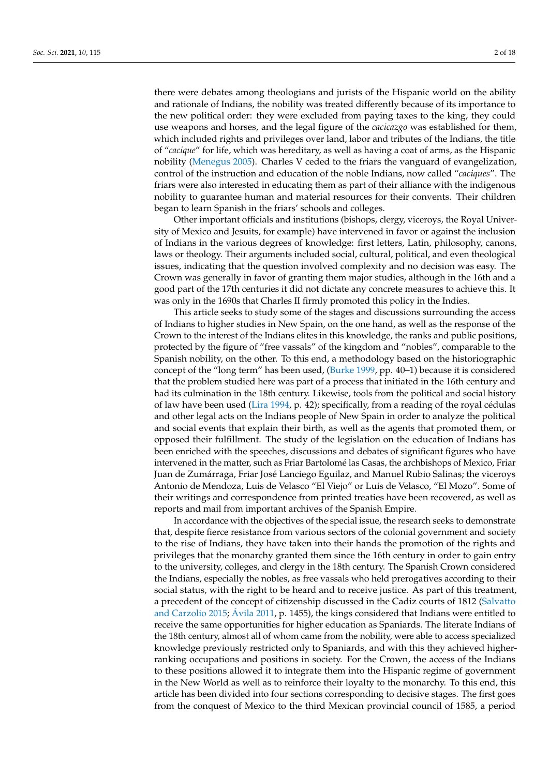there were debates among theologians and jurists of the Hispanic world on the ability and rationale of Indians, the nobility was treated differently because of its importance to the new political order: they were excluded from paying taxes to the king, they could use weapons and horses, and the legal figure of the *cacicazgo* was established for them, which included rights and privileges over land, labor and tributes of the Indians, the title of "*cacique*" for life, which was hereditary, as well as having a coat of arms, as the Hispanic nobility [\(Menegus](#page-16-6) [2005\)](#page-16-6). Charles V ceded to the friars the vanguard of evangelization, control of the instruction and education of the noble Indians, now called "*caciques*". The friars were also interested in educating them as part of their alliance with the indigenous nobility to guarantee human and material resources for their convents. Their children began to learn Spanish in the friars' schools and colleges.

Other important officials and institutions (bishops, clergy, viceroys, the Royal University of Mexico and Jesuits, for example) have intervened in favor or against the inclusion of Indians in the various degrees of knowledge: first letters, Latin, philosophy, canons, laws or theology. Their arguments included social, cultural, political, and even theological issues, indicating that the question involved complexity and no decision was easy. The Crown was generally in favor of granting them major studies, although in the 16th and a good part of the 17th centuries it did not dictate any concrete measures to achieve this. It was only in the 1690s that Charles II firmly promoted this policy in the Indies.

This article seeks to study some of the stages and discussions surrounding the access of Indians to higher studies in New Spain, on the one hand, as well as the response of the Crown to the interest of the Indians elites in this knowledge, the ranks and public positions, protected by the figure of "free vassals" of the kingdom and "nobles", comparable to the Spanish nobility, on the other. To this end, a methodology based on the historiographic concept of the "long term" has been used, [\(Burke](#page-15-8) [1999,](#page-15-8) pp. 40–1) because it is considered that the problem studied here was part of a process that initiated in the 16th century and had its culmination in the 18th century. Likewise, tools from the political and social history of law have been used [\(Lira](#page-16-7) [1994,](#page-16-7) p. 42); specifically, from a reading of the royal cédulas and other legal acts on the Indians people of New Spain in order to analyze the political and social events that explain their birth, as well as the agents that promoted them, or opposed their fulfillment. The study of the legislation on the education of Indians has been enriched with the speeches, discussions and debates of significant figures who have intervened in the matter, such as Friar Bartolomé las Casas, the archbishops of Mexico, Friar Juan de Zumárraga, Friar José Lanciego Eguilaz, and Manuel Rubio Salinas; the viceroys Antonio de Mendoza, Luis de Velasco "El Viejo" or Luis de Velasco, "El Mozo". Some of their writings and correspondence from printed treaties have been recovered, as well as reports and mail from important archives of the Spanish Empire.

In accordance with the objectives of the special issue, the research seeks to demonstrate that, despite fierce resistance from various sectors of the colonial government and society to the rise of Indians, they have taken into their hands the promotion of the rights and privileges that the monarchy granted them since the 16th century in order to gain entry to the university, colleges, and clergy in the 18th century. The Spanish Crown considered the Indians, especially the nobles, as free vassals who held prerogatives according to their social status, with the right to be heard and to receive justice. As part of this treatment, a precedent of the concept of citizenship discussed in the Cadiz courts of 1812 [\(Salvatto](#page-17-1) [and Carzolio](#page-17-1) [2015;](#page-17-1) Á[vila](#page-15-9) [2011,](#page-15-9) p. 1455), the kings considered that Indians were entitled to receive the same opportunities for higher education as Spaniards. The literate Indians of the 18th century, almost all of whom came from the nobility, were able to access specialized knowledge previously restricted only to Spaniards, and with this they achieved higherranking occupations and positions in society. For the Crown, the access of the Indians to these positions allowed it to integrate them into the Hispanic regime of government in the New World as well as to reinforce their loyalty to the monarchy. To this end, this article has been divided into four sections corresponding to decisive stages. The first goes from the conquest of Mexico to the third Mexican provincial council of 1585, a period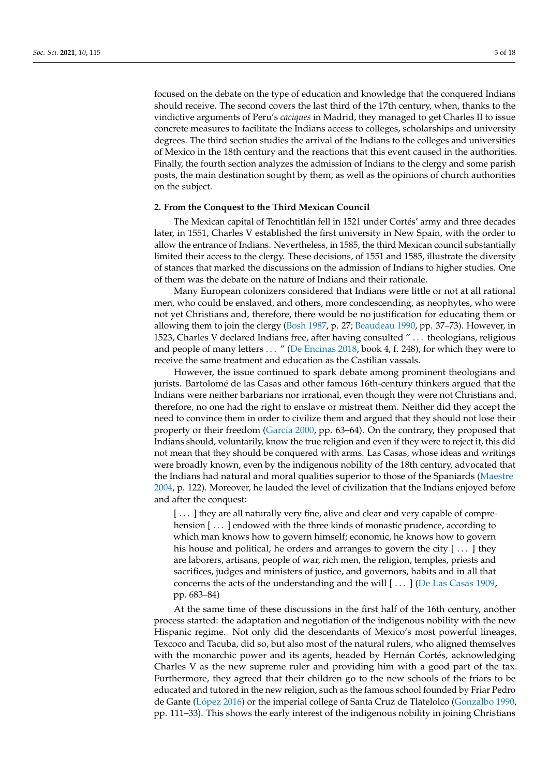focused on the debate on the type of education and knowledge that the conquered Indians should receive. The second covers the last third of the 17th century, when, thanks to the vindictive arguments of Peru's *caciques* in Madrid, they managed to get Charles II to issue concrete measures to facilitate the Indians access to colleges, scholarships and university degrees. The third section studies the arrival of the Indians to the colleges and universities of Mexico in the 18th century and the reactions that this event caused in the authorities. Finally, the fourth section analyzes the admission of Indians to the clergy and some parish posts, the main destination sought by them, as well as the opinions of church authorities on the subject.

#### **2. From the Conquest to the Third Mexican Council**

The Mexican capital of Tenochtitlán fell in 1521 under Cortés' army and three decades later, in 1551, Charles V established the first university in New Spain, with the order to allow the entrance of Indians. Nevertheless, in 1585, the third Mexican council substantially limited their access to the clergy. These decisions, of 1551 and 1585, illustrate the diversity of stances that marked the discussions on the admission of Indians to higher studies. One of them was the debate on the nature of Indians and their rationale.

Many European colonizers considered that Indians were little or not at all rational men, who could be enslaved, and others, more condescending, as neophytes, who were not yet Christians and, therefore, there would be no justification for educating them or allowing them to join the clergy [\(Bosh](#page-15-10) [1987,](#page-15-10) p. 27; [Beaudeau](#page-15-11) [1990,](#page-15-11) pp. 37–73). However, in 1523, Charles V declared Indians free, after having consulted " . . . theologians, religious and people of many letters . . . " [\(De Encinas](#page-15-12) [2018,](#page-15-12) book 4, f. 248), for which they were to receive the same treatment and education as the Castilian vassals.

However, the issue continued to spark debate among prominent theologians and jurists. Bartolomé de las Casas and other famous 16th-century thinkers argued that the Indians were neither barbarians nor irrational, even though they were not Christians and, therefore, no one had the right to enslave or mistreat them. Neither did they accept the need to convince them in order to civilize them and argued that they should not lose their property or their freedom [\(Garc](#page-16-8)ía [2000,](#page-16-8) pp. 63–64). On the contrary, they proposed that Indians should, voluntarily, know the true religion and even if they were to reject it, this did not mean that they should be conquered with arms. Las Casas, whose ideas and writings were broadly known, even by the indigenous nobility of the 18th century, advocated that the Indians had natural and moral qualities superior to those of the Spaniards [\(Maestre](#page-16-9) [2004,](#page-16-9) p. 122). Moreover, he lauded the level of civilization that the Indians enjoyed before and after the conquest:

[...] they are all naturally very fine, alive and clear and very capable of comprehension [...] endowed with the three kinds of monastic prudence, according to which man knows how to govern himself; economic, he knows how to govern his house and political, he orders and arranges to govern the city [...] they are laborers, artisans, people of war, rich men, the religion, temples, priests and sacrifices, judges and ministers of justice, and governors, habits and in all that concerns the acts of the understanding and the will [ . . . ] [\(De Las Casas](#page-15-13) [1909,](#page-15-13) pp. 683–84)

At the same time of these discussions in the first half of the 16th century, another process started: the adaptation and negotiation of the indigenous nobility with the new Hispanic regime. Not only did the descendants of Mexico's most powerful lineages, Texcoco and Tacuba, did so, but also most of the natural rulers, who aligned themselves with the monarchic power and its agents, headed by Hernán Cortés, acknowledging Charles V as the new supreme ruler and providing him with a good part of the tax. Furthermore, they agreed that their children go to the new schools of the friars to be educated and tutored in the new religion, such as the famous school founded by Friar Pedro de Gante (Ló[pez](#page-16-10) [2016\)](#page-16-10) or the imperial college of Santa Cruz de Tlatelolco [\(Gonzalbo](#page-16-0) [1990,](#page-16-0) pp. 111–33). This shows the early interest of the indigenous nobility in joining Christians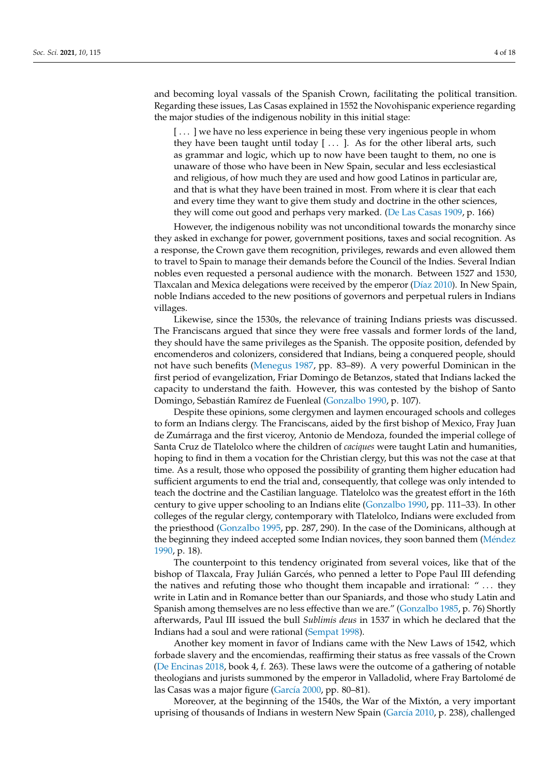and becoming loyal vassals of the Spanish Crown, facilitating the political transition. Regarding these issues, Las Casas explained in 1552 the Novohispanic experience regarding the major studies of the indigenous nobility in this initial stage:

[ . . . ] we have no less experience in being these very ingenious people in whom they have been taught until today  $[ \dots ]$ . As for the other liberal arts, such as grammar and logic, which up to now have been taught to them, no one is unaware of those who have been in New Spain, secular and less ecclesiastical and religious, of how much they are used and how good Latinos in particular are, and that is what they have been trained in most. From where it is clear that each and every time they want to give them study and doctrine in the other sciences, they will come out good and perhaps very marked. [\(De Las Casas](#page-15-13) [1909,](#page-15-13) p. 166)

However, the indigenous nobility was not unconditional towards the monarchy since they asked in exchange for power, government positions, taxes and social recognition. As a response, the Crown gave them recognition, privileges, rewards and even allowed them to travel to Spain to manage their demands before the Council of the Indies. Several Indian nobles even requested a personal audience with the monarch. Between 1527 and 1530, Tlaxcalan and Mexica delegations were received by the emperor (Dí[az](#page-15-14) [2010\)](#page-15-14). In New Spain, noble Indians acceded to the new positions of governors and perpetual rulers in Indians villages.

Likewise, since the 1530s, the relevance of training Indians priests was discussed. The Franciscans argued that since they were free vassals and former lords of the land, they should have the same privileges as the Spanish. The opposite position, defended by encomenderos and colonizers, considered that Indians, being a conquered people, should not have such benefits [\(Menegus](#page-16-11) [1987,](#page-16-11) pp. 83–89). A very powerful Dominican in the first period of evangelization, Friar Domingo de Betanzos, stated that Indians lacked the capacity to understand the faith. However, this was contested by the bishop of Santo Domingo, Sebastián Ramírez de Fuenleal [\(Gonzalbo](#page-16-0) [1990,](#page-16-0) p. 107).

Despite these opinions, some clergymen and laymen encouraged schools and colleges to form an Indians clergy. The Franciscans, aided by the first bishop of Mexico, Fray Juan de Zumárraga and the first viceroy, Antonio de Mendoza, founded the imperial college of Santa Cruz de Tlatelolco where the children of *caciques* were taught Latin and humanities, hoping to find in them a vocation for the Christian clergy, but this was not the case at that time. As a result, those who opposed the possibility of granting them higher education had sufficient arguments to end the trial and, consequently, that college was only intended to teach the doctrine and the Castilian language. Tlatelolco was the greatest effort in the 16th century to give upper schooling to an Indians elite [\(Gonzalbo](#page-16-0) [1990,](#page-16-0) pp. 111–33). In other colleges of the regular clergy, contemporary with Tlatelolco, Indians were excluded from the priesthood [\(Gonzalbo](#page-16-12) [1995,](#page-16-12) pp. 287, 290). In the case of the Dominicans, although at the beginning they indeed accepted some Indian novices, they soon banned them (Mé[ndez](#page-16-13) [1990,](#page-16-13) p. 18).

The counterpoint to this tendency originated from several voices, like that of the bishop of Tlaxcala, Fray Julián Garcés, who penned a letter to Pope Paul III defending the natives and refuting those who thought them incapable and irrational: " . . . they write in Latin and in Romance better than our Spaniards, and those who study Latin and Spanish among themselves are no less effective than we are." [\(Gonzalbo](#page-16-14) [1985,](#page-16-14) p. 76) Shortly afterwards, Paul III issued the bull *Sublimis deus* in 1537 in which he declared that the Indians had a soul and were rational [\(Sempat](#page-17-2) [1998\)](#page-17-2).

Another key moment in favor of Indians came with the New Laws of 1542, which forbade slavery and the encomiendas, reaffirming their status as free vassals of the Crown [\(De Encinas](#page-15-12) [2018,](#page-15-12) book 4, f. 263). These laws were the outcome of a gathering of notable theologians and jurists summoned by the emperor in Valladolid, where Fray Bartolomé de las Casas was a major figure [\(Garc](#page-16-8)ía [2000,](#page-16-8) pp. 80–81).

Moreover, at the beginning of the 1540s, the War of the Mixtón, a very important uprising of thousands of Indians in western New Spain [\(Garc](#page-16-15)ía [2010,](#page-16-15) p. 238), challenged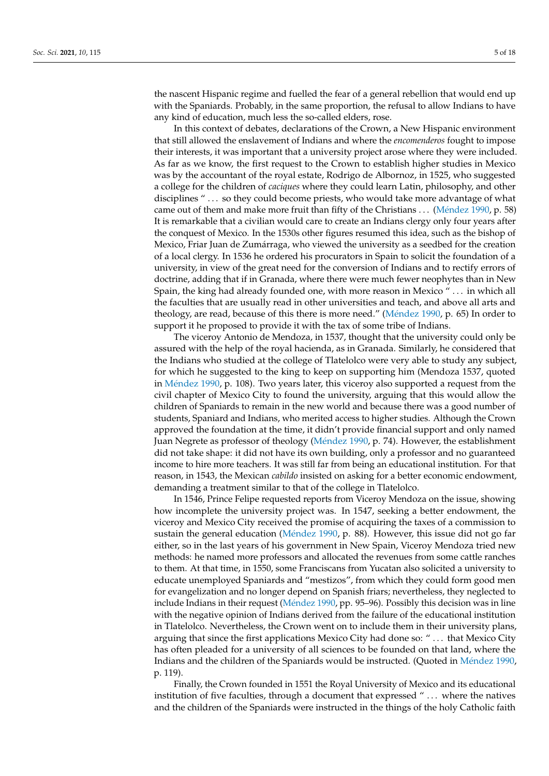the nascent Hispanic regime and fuelled the fear of a general rebellion that would end up with the Spaniards. Probably, in the same proportion, the refusal to allow Indians to have any kind of education, much less the so-called elders, rose.

In this context of debates, declarations of the Crown, a New Hispanic environment that still allowed the enslavement of Indians and where the *encomenderos* fought to impose their interests, it was important that a university project arose where they were included. As far as we know, the first request to the Crown to establish higher studies in Mexico was by the accountant of the royal estate, Rodrigo de Albornoz, in 1525, who suggested a college for the children of *caciques* where they could learn Latin, philosophy, and other disciplines "... so they could become priests, who would take more advantage of what came out of them and make more fruit than fifty of the Christians . . . (Mé[ndez](#page-16-13) [1990,](#page-16-13) p. 58) It is remarkable that a civilian would care to create an Indians clergy only four years after the conquest of Mexico. In the 1530s other figures resumed this idea, such as the bishop of Mexico, Friar Juan de Zumárraga, who viewed the university as a seedbed for the creation of a local clergy. In 1536 he ordered his procurators in Spain to solicit the foundation of a university, in view of the great need for the conversion of Indians and to rectify errors of doctrine, adding that if in Granada, where there were much fewer neophytes than in New Spain, the king had already founded one, with more reason in Mexico " . . . in which all the faculties that are usually read in other universities and teach, and above all arts and theology, are read, because of this there is more need." (Mé[ndez](#page-16-13) [1990,](#page-16-13) p. 65) In order to support it he proposed to provide it with the tax of some tribe of Indians.

The viceroy Antonio de Mendoza, in 1537, thought that the university could only be assured with the help of the royal hacienda, as in Granada. Similarly, he considered that the Indians who studied at the college of Tlatelolco were very able to study any subject, for which he suggested to the king to keep on supporting him (Mendoza 1537, quoted in Mé[ndez](#page-16-13) [1990,](#page-16-13) p. 108). Two years later, this viceroy also supported a request from the civil chapter of Mexico City to found the university, arguing that this would allow the children of Spaniards to remain in the new world and because there was a good number of students, Spaniard and Indians, who merited access to higher studies. Although the Crown approved the foundation at the time, it didn't provide financial support and only named Juan Negrete as professor of theology (Mé[ndez](#page-16-13) [1990,](#page-16-13) p. 74). However, the establishment did not take shape: it did not have its own building, only a professor and no guaranteed income to hire more teachers. It was still far from being an educational institution. For that reason, in 1543, the Mexican *cabildo* insisted on asking for a better economic endowment, demanding a treatment similar to that of the college in Tlatelolco.

In 1546, Prince Felipe requested reports from Viceroy Mendoza on the issue, showing how incomplete the university project was. In 1547, seeking a better endowment, the viceroy and Mexico City received the promise of acquiring the taxes of a commission to sustain the general education (Mé[ndez](#page-16-13) [1990,](#page-16-13) p. 88). However, this issue did not go far either, so in the last years of his government in New Spain, Viceroy Mendoza tried new methods: he named more professors and allocated the revenues from some cattle ranches to them. At that time, in 1550, some Franciscans from Yucatan also solicited a university to educate unemployed Spaniards and "mestizos", from which they could form good men for evangelization and no longer depend on Spanish friars; nevertheless, they neglected to include Indians in their request (Mé[ndez](#page-16-13) [1990,](#page-16-13) pp. 95–96). Possibly this decision was in line with the negative opinion of Indians derived from the failure of the educational institution in Tlatelolco. Nevertheless, the Crown went on to include them in their university plans, arguing that since the first applications Mexico City had done so: " . . . that Mexico City has often pleaded for a university of all sciences to be founded on that land, where the Indians and the children of the Spaniards would be instructed. (Quoted in Mé[ndez](#page-16-13) [1990,](#page-16-13) p. 119).

Finally, the Crown founded in 1551 the Royal University of Mexico and its educational institution of five faculties, through a document that expressed " ... where the natives and the children of the Spaniards were instructed in the things of the holy Catholic faith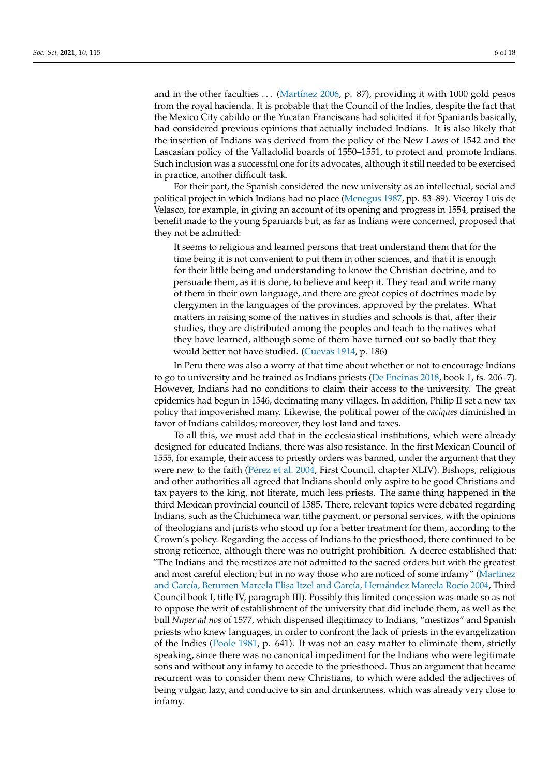and in the other faculties ... [\(Mart](#page-16-16)ínez [2006,](#page-16-16) p. 87), providing it with 1000 gold pesos from the royal hacienda. It is probable that the Council of the Indies, despite the fact that the Mexico City cabildo or the Yucatan Franciscans had solicited it for Spaniards basically, had considered previous opinions that actually included Indians. It is also likely that the insertion of Indians was derived from the policy of the New Laws of 1542 and the Lascasian policy of the Valladolid boards of 1550–1551, to protect and promote Indians. Such inclusion was a successful one for its advocates, although it still needed to be exercised in practice, another difficult task.

For their part, the Spanish considered the new university as an intellectual, social and political project in which Indians had no place [\(Menegus](#page-16-11) [1987,](#page-16-11) pp. 83–89). Viceroy Luis de Velasco, for example, in giving an account of its opening and progress in 1554, praised the benefit made to the young Spaniards but, as far as Indians were concerned, proposed that they not be admitted:

It seems to religious and learned persons that treat understand them that for the time being it is not convenient to put them in other sciences, and that it is enough for their little being and understanding to know the Christian doctrine, and to persuade them, as it is done, to believe and keep it. They read and write many of them in their own language, and there are great copies of doctrines made by clergymen in the languages of the provinces, approved by the prelates. What matters in raising some of the natives in studies and schools is that, after their studies, they are distributed among the peoples and teach to the natives what they have learned, although some of them have turned out so badly that they would better not have studied. [\(Cuevas](#page-15-15) [1914,](#page-15-15) p. 186)

In Peru there was also a worry at that time about whether or not to encourage Indians to go to university and be trained as Indians priests [\(De Encinas](#page-15-12) [2018,](#page-15-12) book 1, fs. 206–7). However, Indians had no conditions to claim their access to the university. The great epidemics had begun in 1546, decimating many villages. In addition, Philip II set a new tax policy that impoverished many. Likewise, the political power of the *caciques* diminished in favor of Indians cabildos; moreover, they lost land and taxes.

To all this, we must add that in the ecclesiastical institutions, which were already designed for educated Indians, there was also resistance. In the first Mexican Council of 1555, for example, their access to priestly orders was banned, under the argument that they were new to the faith (Pé[rez et al.](#page-17-3) [2004,](#page-17-3) First Council, chapter XLIV). Bishops, religious and other authorities all agreed that Indians should only aspire to be good Christians and tax payers to the king, not literate, much less priests. The same thing happened in the third Mexican provincial council of 1585. There, relevant topics were debated regarding Indians, such as the Chichimeca war, tithe payment, or personal services, with the opinions of theologians and jurists who stood up for a better treatment for them, according to the Crown's policy. Regarding the access of Indians to the priesthood, there continued to be strong reticence, although there was no outright prohibition. A decree established that: "The Indians and the mestizos are not admitted to the sacred orders but with the greatest and most careful election; but in no way those who are noticed of some infamy" [\(Mart](#page-16-17)ínez and Garcí[a, Berumen Marcela Elisa Itzel and Garc](#page-16-17)ía, Hernández Marcela Rocío [2004,](#page-16-17) Third Council book I, title IV, paragraph III). Possibly this limited concession was made so as not to oppose the writ of establishment of the university that did include them, as well as the bull *Nuper ad nos* of 1577, which dispensed illegitimacy to Indians, "mestizos" and Spanish priests who knew languages, in order to confront the lack of priests in the evangelization of the Indies [\(Poole](#page-17-4) [1981,](#page-17-4) p. 641). It was not an easy matter to eliminate them, strictly speaking, since there was no canonical impediment for the Indians who were legitimate sons and without any infamy to accede to the priesthood. Thus an argument that became recurrent was to consider them new Christians, to which were added the adjectives of being vulgar, lazy, and conducive to sin and drunkenness, which was already very close to infamy.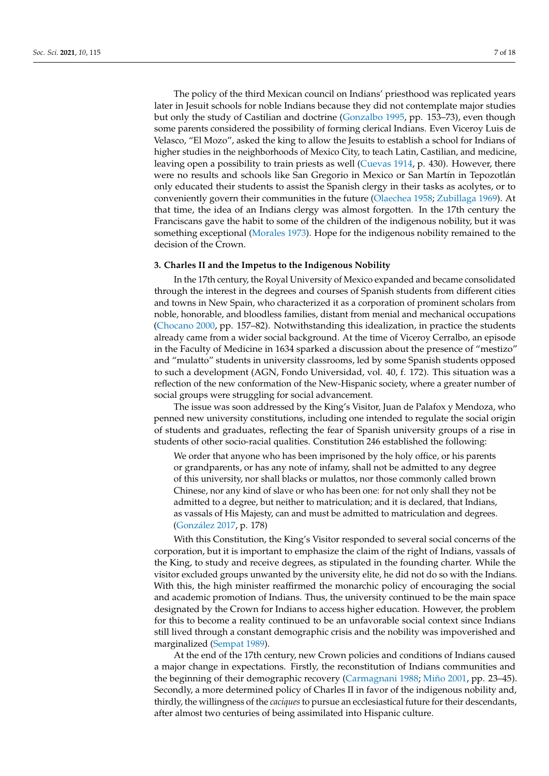The policy of the third Mexican council on Indians' priesthood was replicated years later in Jesuit schools for noble Indians because they did not contemplate major studies but only the study of Castilian and doctrine [\(Gonzalbo](#page-16-12) [1995,](#page-16-12) pp. 153–73), even though some parents considered the possibility of forming clerical Indians. Even Viceroy Luis de Velasco, "El Mozo", asked the king to allow the Jesuits to establish a school for Indians of higher studies in the neighborhoods of Mexico City, to teach Latin, Castilian, and medicine, leaving open a possibility to train priests as well [\(Cuevas](#page-15-15) [1914,](#page-15-15) p. 430). However, there were no results and schools like San Gregorio in Mexico or San Martín in Tepozotlán only educated their students to assist the Spanish clergy in their tasks as acolytes, or to conveniently govern their communities in the future [\(Olaechea](#page-16-18) [1958;](#page-16-18) [Zubillaga](#page-17-5) [1969\)](#page-17-5). At that time, the idea of an Indians clergy was almost forgotten. In the 17th century the Franciscans gave the habit to some of the children of the indigenous nobility, but it was something exceptional [\(Morales](#page-16-19) [1973\)](#page-16-19). Hope for the indigenous nobility remained to the decision of the Crown.

#### **3. Charles II and the Impetus to the Indigenous Nobility**

In the 17th century, the Royal University of Mexico expanded and became consolidated through the interest in the degrees and courses of Spanish students from different cities and towns in New Spain, who characterized it as a corporation of prominent scholars from noble, honorable, and bloodless families, distant from menial and mechanical occupations [\(Chocano](#page-15-16) [2000,](#page-15-16) pp. 157–82). Notwithstanding this idealization, in practice the students already came from a wider social background. At the time of Viceroy Cerralbo, an episode in the Faculty of Medicine in 1634 sparked a discussion about the presence of "mestizo" and "mulatto" students in university classrooms, led by some Spanish students opposed to such a development (AGN, Fondo Universidad, vol. 40, f. 172). This situation was a reflection of the new conformation of the New-Hispanic society, where a greater number of social groups were struggling for social advancement.

The issue was soon addressed by the King's Visitor, Juan de Palafox y Mendoza, who penned new university constitutions, including one intended to regulate the social origin of students and graduates, reflecting the fear of Spanish university groups of a rise in students of other socio-racial qualities. Constitution 246 established the following:

We order that anyone who has been imprisoned by the holy office, or his parents or grandparents, or has any note of infamy, shall not be admitted to any degree of this university, nor shall blacks or mulattos, nor those commonly called brown Chinese, nor any kind of slave or who has been one: for not only shall they not be admitted to a degree, but neither to matriculation; and it is declared, that Indians, as vassals of His Majesty, can and must be admitted to matriculation and degrees. [\(Gonz](#page-16-20)ález [2017,](#page-16-20) p. 178)

With this Constitution, the King's Visitor responded to several social concerns of the corporation, but it is important to emphasize the claim of the right of Indians, vassals of the King, to study and receive degrees, as stipulated in the founding charter. While the visitor excluded groups unwanted by the university elite, he did not do so with the Indians. With this, the high minister reaffirmed the monarchic policy of encouraging the social and academic promotion of Indians. Thus, the university continued to be the main space designated by the Crown for Indians to access higher education. However, the problem for this to become a reality continued to be an unfavorable social context since Indians still lived through a constant demographic crisis and the nobility was impoverished and marginalized [\(Sempat](#page-17-6) [1989\)](#page-17-6).

At the end of the 17th century, new Crown policies and conditions of Indians caused a major change in expectations. Firstly, the reconstitution of Indians communities and the beginning of their demographic recovery [\(Carmagnani](#page-15-17) [1988;](#page-15-17) [Miño](#page-16-21) [2001,](#page-16-21) pp. 23–45). Secondly, a more determined policy of Charles II in favor of the indigenous nobility and, thirdly, the willingness of the *caciques* to pursue an ecclesiastical future for their descendants, after almost two centuries of being assimilated into Hispanic culture.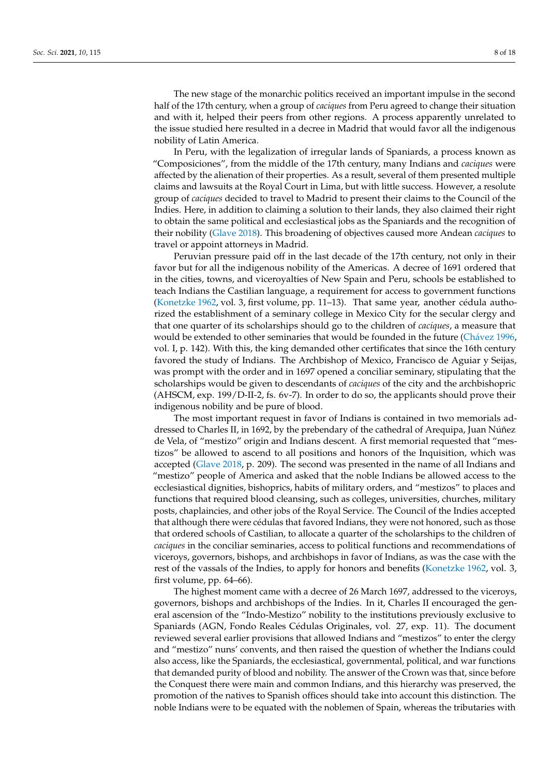The new stage of the monarchic politics received an important impulse in the second half of the 17th century, when a group of *caciques* from Peru agreed to change their situation and with it, helped their peers from other regions. A process apparently unrelated to the issue studied here resulted in a decree in Madrid that would favor all the indigenous nobility of Latin America.

In Peru, with the legalization of irregular lands of Spaniards, a process known as "Composiciones", from the middle of the 17th century, many Indians and *caciques* were affected by the alienation of their properties. As a result, several of them presented multiple claims and lawsuits at the Royal Court in Lima, but with little success. However, a resolute group of *caciques* decided to travel to Madrid to present their claims to the Council of the Indies. Here, in addition to claiming a solution to their lands, they also claimed their right to obtain the same political and ecclesiastical jobs as the Spaniards and the recognition of their nobility [\(Glave](#page-16-5) [2018\)](#page-16-5). This broadening of objectives caused more Andean *caciques* to travel or appoint attorneys in Madrid.

Peruvian pressure paid off in the last decade of the 17th century, not only in their favor but for all the indigenous nobility of the Americas. A decree of 1691 ordered that in the cities, towns, and viceroyalties of New Spain and Peru, schools be established to teach Indians the Castilian language, a requirement for access to government functions [\(Konetzke](#page-16-22) [1962,](#page-16-22) vol. 3, first volume, pp. 11–13). That same year, another cédula authorized the establishment of a seminary college in Mexico City for the secular clergy and that one quarter of its scholarships should go to the children of *caciques*, a measure that would be extended to other seminaries that would be founded in the future (Chá[vez](#page-15-18) [1996,](#page-15-18) vol. I, p. 142). With this, the king demanded other certificates that since the 16th century favored the study of Indians. The Archbishop of Mexico, Francisco de Aguiar y Seijas, was prompt with the order and in 1697 opened a conciliar seminary, stipulating that the scholarships would be given to descendants of *caciques* of the city and the archbishopric (AHSCM, exp. 199/D-II-2, fs. 6v-7). In order to do so, the applicants should prove their indigenous nobility and be pure of blood.

The most important request in favor of Indians is contained in two memorials addressed to Charles II, in 1692, by the prebendary of the cathedral of Arequipa, Juan Núñez de Vela, of "mestizo" origin and Indians descent. A first memorial requested that "mestizos" be allowed to ascend to all positions and honors of the Inquisition, which was accepted [\(Glave](#page-16-5) [2018,](#page-16-5) p. 209). The second was presented in the name of all Indians and "mestizo" people of America and asked that the noble Indians be allowed access to the ecclesiastical dignities, bishoprics, habits of military orders, and "mestizos" to places and functions that required blood cleansing, such as colleges, universities, churches, military posts, chaplaincies, and other jobs of the Royal Service. The Council of the Indies accepted that although there were cédulas that favored Indians, they were not honored, such as those that ordered schools of Castilian, to allocate a quarter of the scholarships to the children of *caciques* in the conciliar seminaries, access to political functions and recommendations of viceroys, governors, bishops, and archbishops in favor of Indians, as was the case with the rest of the vassals of the Indies, to apply for honors and benefits [\(Konetzke](#page-16-22) [1962,](#page-16-22) vol. 3, first volume, pp. 64–66).

The highest moment came with a decree of 26 March 1697, addressed to the viceroys, governors, bishops and archbishops of the Indies. In it, Charles II encouraged the general ascension of the "Indo-Mestizo" nobility to the institutions previously exclusive to Spaniards (AGN, Fondo Reales Cédulas Originales, vol. 27, exp. 11). The document reviewed several earlier provisions that allowed Indians and "mestizos" to enter the clergy and "mestizo" nuns' convents, and then raised the question of whether the Indians could also access, like the Spaniards, the ecclesiastical, governmental, political, and war functions that demanded purity of blood and nobility. The answer of the Crown was that, since before the Conquest there were main and common Indians, and this hierarchy was preserved, the promotion of the natives to Spanish offices should take into account this distinction. The noble Indians were to be equated with the noblemen of Spain, whereas the tributaries with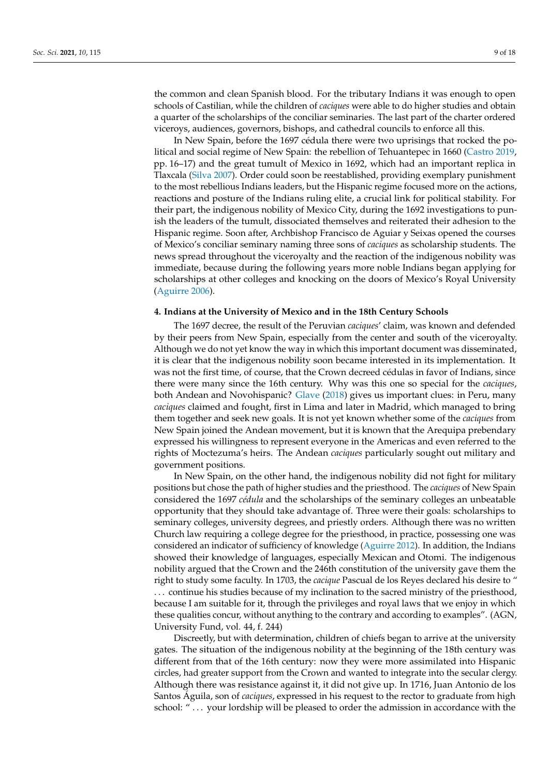the common and clean Spanish blood. For the tributary Indians it was enough to open schools of Castilian, while the children of *caciques* were able to do higher studies and obtain a quarter of the scholarships of the conciliar seminaries. The last part of the charter ordered viceroys, audiences, governors, bishops, and cathedral councils to enforce all this.

In New Spain, before the 1697 cédula there were two uprisings that rocked the political and social regime of New Spain: the rebellion of Tehuantepec in 1660 [\(Castro](#page-15-19) [2019,](#page-15-19) pp. 16–17) and the great tumult of Mexico in 1692, which had an important replica in Tlaxcala [\(Silva](#page-17-7) [2007\)](#page-17-7). Order could soon be reestablished, providing exemplary punishment to the most rebellious Indians leaders, but the Hispanic regime focused more on the actions, reactions and posture of the Indians ruling elite, a crucial link for political stability. For their part, the indigenous nobility of Mexico City, during the 1692 investigations to punish the leaders of the tumult, dissociated themselves and reiterated their adhesion to the Hispanic regime. Soon after, Archbishop Francisco de Aguiar y Seixas opened the courses of Mexico's conciliar seminary naming three sons of *caciques* as scholarship students. The news spread throughout the viceroyalty and the reaction of the indigenous nobility was immediate, because during the following years more noble Indians began applying for scholarships at other colleges and knocking on the doors of Mexico's Royal University [\(Aguirre](#page-15-3) [2006\)](#page-15-3).

#### **4. Indians at the University of Mexico and in the 18th Century Schools**

The 1697 decree, the result of the Peruvian *caciques*' claim, was known and defended by their peers from New Spain, especially from the center and south of the viceroyalty. Although we do not yet know the way in which this important document was disseminated, it is clear that the indigenous nobility soon became interested in its implementation. It was not the first time, of course, that the Crown decreed cédulas in favor of Indians, since there were many since the 16th century. Why was this one so special for the *caciques*, both Andean and Novohispanic? [Glave](#page-16-5) [\(2018\)](#page-16-5) gives us important clues: in Peru, many *caciques* claimed and fought, first in Lima and later in Madrid, which managed to bring them together and seek new goals. It is not yet known whether some of the *caciques* from New Spain joined the Andean movement, but it is known that the Arequipa prebendary expressed his willingness to represent everyone in the Americas and even referred to the rights of Moctezuma's heirs. The Andean *caciques* particularly sought out military and government positions.

In New Spain, on the other hand, the indigenous nobility did not fight for military positions but chose the path of higher studies and the priesthood. The *caciques* of New Spain considered the 1697 *cédula* and the scholarships of the seminary colleges an unbeatable opportunity that they should take advantage of. Three were their goals: scholarships to seminary colleges, university degrees, and priestly orders. Although there was no written Church law requiring a college degree for the priesthood, in practice, possessing one was considered an indicator of sufficiency of knowledge [\(Aguirre](#page-15-20) [2012\)](#page-15-20). In addition, the Indians showed their knowledge of languages, especially Mexican and Otomi. The indigenous nobility argued that the Crown and the 246th constitution of the university gave them the right to study some faculty. In 1703, the *cacique* Pascual de los Reyes declared his desire to " . . . continue his studies because of my inclination to the sacred ministry of the priesthood, because I am suitable for it, through the privileges and royal laws that we enjoy in which these qualities concur, without anything to the contrary and according to examples". (AGN, University Fund, vol. 44, f. 244)

Discreetly, but with determination, children of chiefs began to arrive at the university gates. The situation of the indigenous nobility at the beginning of the 18th century was different from that of the 16th century: now they were more assimilated into Hispanic circles, had greater support from the Crown and wanted to integrate into the secular clergy. Although there was resistance against it, it did not give up. In 1716, Juan Antonio de los Santos Águila, son of *caciques*, expressed in his request to the rector to graduate from high school: "... your lordship will be pleased to order the admission in accordance with the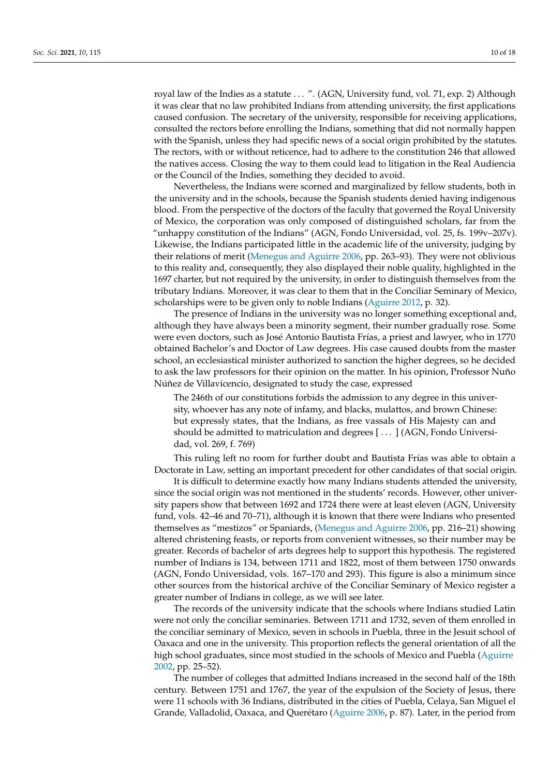royal law of the Indies as a statute . . . ". (AGN, University fund, vol. 71, exp. 2) Although it was clear that no law prohibited Indians from attending university, the first applications caused confusion. The secretary of the university, responsible for receiving applications, consulted the rectors before enrolling the Indians, something that did not normally happen with the Spanish, unless they had specific news of a social origin prohibited by the statutes. The rectors, with or without reticence, had to adhere to the constitution 246 that allowed the natives access. Closing the way to them could lead to litigation in the Real Audiencia or the Council of the Indies, something they decided to avoid.

Nevertheless, the Indians were scorned and marginalized by fellow students, both in the university and in the schools, because the Spanish students denied having indigenous blood. From the perspective of the doctors of the faculty that governed the Royal University of Mexico, the corporation was only composed of distinguished scholars, far from the "unhappy constitution of the Indians" (AGN, Fondo Universidad, vol. 25, fs. 199v–207v). Likewise, the Indians participated little in the academic life of the university, judging by their relations of merit [\(Menegus and Aguirre](#page-16-1) [2006,](#page-16-1) pp. 263–93). They were not oblivious to this reality and, consequently, they also displayed their noble quality, highlighted in the 1697 charter, but not required by the university, in order to distinguish themselves from the tributary Indians. Moreover, it was clear to them that in the Conciliar Seminary of Mexico, scholarships were to be given only to noble Indians [\(Aguirre](#page-15-20) [2012,](#page-15-20) p. 32).

The presence of Indians in the university was no longer something exceptional and, although they have always been a minority segment, their number gradually rose. Some were even doctors, such as José Antonio Bautista Frías, a priest and lawyer, who in 1770 obtained Bachelor's and Doctor of Law degrees. His case caused doubts from the master school, an ecclesiastical minister authorized to sanction the higher degrees, so he decided to ask the law professors for their opinion on the matter. In his opinion, Professor Nuño Núñez de Villavicencio, designated to study the case, expressed

The 246th of our constitutions forbids the admission to any degree in this university, whoever has any note of infamy, and blacks, mulattos, and brown Chinese: but expressly states, that the Indians, as free vassals of His Majesty can and should be admitted to matriculation and degrees [ . . . ] (AGN, Fondo Universidad, vol. 269, f. 769)

This ruling left no room for further doubt and Bautista Frías was able to obtain a Doctorate in Law, setting an important precedent for other candidates of that social origin.

It is difficult to determine exactly how many Indians students attended the university, since the social origin was not mentioned in the students' records. However, other university papers show that between 1692 and 1724 there were at least eleven (AGN, University fund, vols. 42–46 and 70–71), although it is known that there were Indians who presented themselves as "mestizos" or Spaniards, [\(Menegus and Aguirre](#page-16-1) [2006,](#page-16-1) pp. 216–21) showing altered christening feasts, or reports from convenient witnesses, so their number may be greater. Records of bachelor of arts degrees help to support this hypothesis. The registered number of Indians is 134, between 1711 and 1822, most of them between 1750 onwards (AGN, Fondo Universidad, vols. 167–170 and 293). This figure is also a minimum since other sources from the historical archive of the Conciliar Seminary of Mexico register a greater number of Indians in college, as we will see later.

The records of the university indicate that the schools where Indians studied Latin were not only the conciliar seminaries. Between 1711 and 1732, seven of them enrolled in the conciliar seminary of Mexico, seven in schools in Puebla, three in the Jesuit school of Oaxaca and one in the university. This proportion reflects the general orientation of all the high school graduates, since most studied in the schools of Mexico and Puebla [\(Aguirre](#page-15-21) [2002,](#page-15-21) pp. 25–52).

The number of colleges that admitted Indians increased in the second half of the 18th century. Between 1751 and 1767, the year of the expulsion of the Society of Jesus, there were 11 schools with 36 Indians, distributed in the cities of Puebla, Celaya, San Miguel el Grande, Valladolid, Oaxaca, and Querétaro [\(Aguirre](#page-15-3) [2006,](#page-15-3) p. 87). Later, in the period from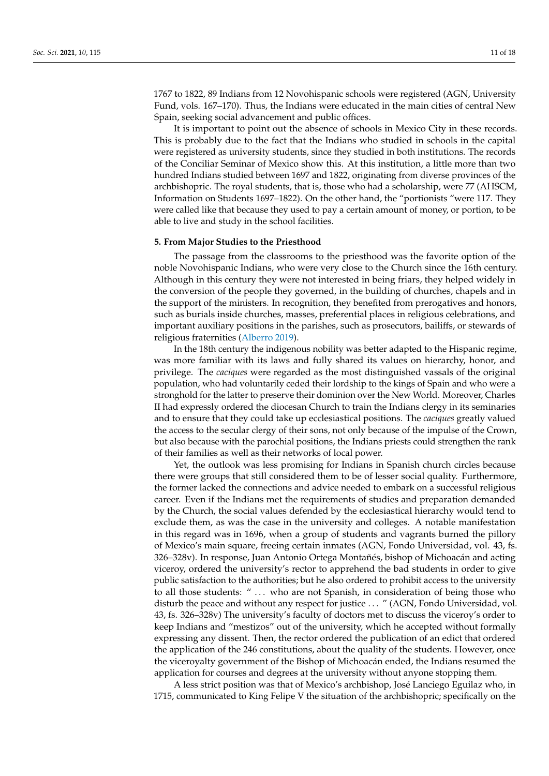1767 to 1822, 89 Indians from 12 Novohispanic schools were registered (AGN, University Fund, vols. 167–170). Thus, the Indians were educated in the main cities of central New Spain, seeking social advancement and public offices.

It is important to point out the absence of schools in Mexico City in these records. This is probably due to the fact that the Indians who studied in schools in the capital were registered as university students, since they studied in both institutions. The records of the Conciliar Seminar of Mexico show this. At this institution, a little more than two hundred Indians studied between 1697 and 1822, originating from diverse provinces of the archbishopric. The royal students, that is, those who had a scholarship, were 77 (AHSCM, Information on Students 1697–1822). On the other hand, the "portionists "were 117. They were called like that because they used to pay a certain amount of money, or portion, to be able to live and study in the school facilities.

#### **5. From Major Studies to the Priesthood**

The passage from the classrooms to the priesthood was the favorite option of the noble Novohispanic Indians, who were very close to the Church since the 16th century. Although in this century they were not interested in being friars, they helped widely in the conversion of the people they governed, in the building of churches, chapels and in the support of the ministers. In recognition, they benefited from prerogatives and honors, such as burials inside churches, masses, preferential places in religious celebrations, and important auxiliary positions in the parishes, such as prosecutors, bailiffs, or stewards of religious fraternities [\(Alberro](#page-15-22) [2019\)](#page-15-22).

In the 18th century the indigenous nobility was better adapted to the Hispanic regime, was more familiar with its laws and fully shared its values on hierarchy, honor, and privilege. The *caciques* were regarded as the most distinguished vassals of the original population, who had voluntarily ceded their lordship to the kings of Spain and who were a stronghold for the latter to preserve their dominion over the New World. Moreover, Charles II had expressly ordered the diocesan Church to train the Indians clergy in its seminaries and to ensure that they could take up ecclesiastical positions. The *caciques* greatly valued the access to the secular clergy of their sons, not only because of the impulse of the Crown, but also because with the parochial positions, the Indians priests could strengthen the rank of their families as well as their networks of local power.

Yet, the outlook was less promising for Indians in Spanish church circles because there were groups that still considered them to be of lesser social quality. Furthermore, the former lacked the connections and advice needed to embark on a successful religious career. Even if the Indians met the requirements of studies and preparation demanded by the Church, the social values defended by the ecclesiastical hierarchy would tend to exclude them, as was the case in the university and colleges. A notable manifestation in this regard was in 1696, when a group of students and vagrants burned the pillory of Mexico's main square, freeing certain inmates (AGN, Fondo Universidad, vol. 43, fs. 326–328v). In response, Juan Antonio Ortega Montañés, bishop of Michoacán and acting viceroy, ordered the university's rector to apprehend the bad students in order to give public satisfaction to the authorities; but he also ordered to prohibit access to the university to all those students: " . . . who are not Spanish, in consideration of being those who disturb the peace and without any respect for justice ... " (AGN, Fondo Universidad, vol. 43, fs. 326–328v) The university's faculty of doctors met to discuss the viceroy's order to keep Indians and "mestizos" out of the university, which he accepted without formally expressing any dissent. Then, the rector ordered the publication of an edict that ordered the application of the 246 constitutions, about the quality of the students. However, once the viceroyalty government of the Bishop of Michoacán ended, the Indians resumed the application for courses and degrees at the university without anyone stopping them.

A less strict position was that of Mexico's archbishop, José Lanciego Eguilaz who, in 1715, communicated to King Felipe V the situation of the archbishopric; specifically on the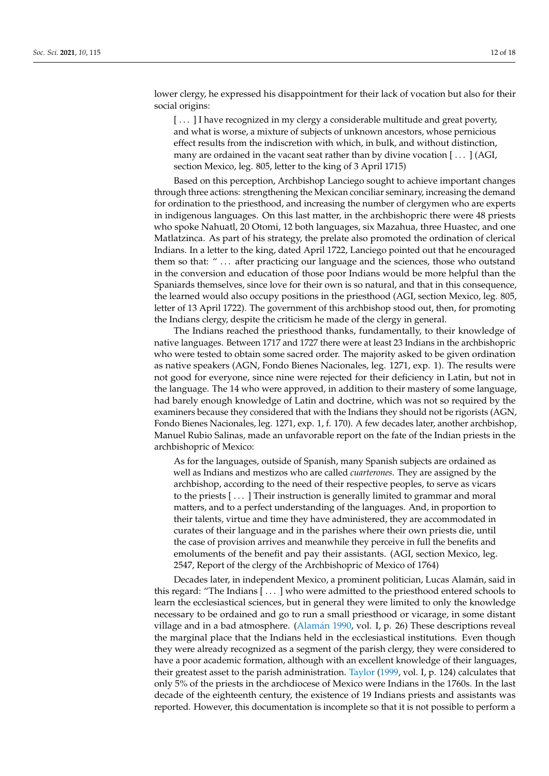lower clergy, he expressed his disappointment for their lack of vocation but also for their social origins:

[...] I have recognized in my clergy a considerable multitude and great poverty, and what is worse, a mixture of subjects of unknown ancestors, whose pernicious effect results from the indiscretion with which, in bulk, and without distinction, many are ordained in the vacant seat rather than by divine vocation [...] (AGI, section Mexico, leg. 805, letter to the king of 3 April 1715)

Based on this perception, Archbishop Lanciego sought to achieve important changes through three actions: strengthening the Mexican conciliar seminary, increasing the demand for ordination to the priesthood, and increasing the number of clergymen who are experts in indigenous languages. On this last matter, in the archbishopric there were 48 priests who spoke Nahuatl, 20 Otomi, 12 both languages, six Mazahua, three Huastec, and one Matlatzinca. As part of his strategy, the prelate also promoted the ordination of clerical Indians. In a letter to the king, dated April 1722, Lanciego pointed out that he encouraged them so that: " . . . after practicing our language and the sciences, those who outstand in the conversion and education of those poor Indians would be more helpful than the Spaniards themselves, since love for their own is so natural, and that in this consequence, the learned would also occupy positions in the priesthood (AGI, section Mexico, leg. 805, letter of 13 April 1722). The government of this archbishop stood out, then, for promoting the Indians clergy, despite the criticism he made of the clergy in general.

The Indians reached the priesthood thanks, fundamentally, to their knowledge of native languages. Between 1717 and 1727 there were at least 23 Indians in the archbishopric who were tested to obtain some sacred order. The majority asked to be given ordination as native speakers (AGN, Fondo Bienes Nacionales, leg. 1271, exp. 1). The results were not good for everyone, since nine were rejected for their deficiency in Latin, but not in the language. The 14 who were approved, in addition to their mastery of some language, had barely enough knowledge of Latin and doctrine, which was not so required by the examiners because they considered that with the Indians they should not be rigorists (AGN, Fondo Bienes Nacionales, leg. 1271, exp. 1, f. 170). A few decades later, another archbishop, Manuel Rubio Salinas, made an unfavorable report on the fate of the Indian priests in the archbishopric of Mexico:

As for the languages, outside of Spanish, many Spanish subjects are ordained as well as Indians and mestizos who are called *cuarterones*. They are assigned by the archbishop, according to the need of their respective peoples, to serve as vicars to the priests [ . . . ] Their instruction is generally limited to grammar and moral matters, and to a perfect understanding of the languages. And, in proportion to their talents, virtue and time they have administered, they are accommodated in curates of their language and in the parishes where their own priests die, until the case of provision arrives and meanwhile they perceive in full the benefits and emoluments of the benefit and pay their assistants. (AGI, section Mexico, leg. 2547, Report of the clergy of the Archbishopric of Mexico of 1764)

Decades later, in independent Mexico, a prominent politician, Lucas Alamán, said in this regard: "The Indians [ . . . ] who were admitted to the priesthood entered schools to learn the ecclesiastical sciences, but in general they were limited to only the knowledge necessary to be ordained and go to run a small priesthood or vicarage, in some distant village and in a bad atmosphere. [\(Alam](#page-15-23)án [1990,](#page-15-23) vol. I, p. 26) These descriptions reveal the marginal place that the Indians held in the ecclesiastical institutions. Even though they were already recognized as a segment of the parish clergy, they were considered to have a poor academic formation, although with an excellent knowledge of their languages, their greatest asset to the parish administration. [Taylor](#page-17-8) [\(1999,](#page-17-8) vol. I, p. 124) calculates that only 5% of the priests in the archdiocese of Mexico were Indians in the 1760s. In the last decade of the eighteenth century, the existence of 19 Indians priests and assistants was reported. However, this documentation is incomplete so that it is not possible to perform a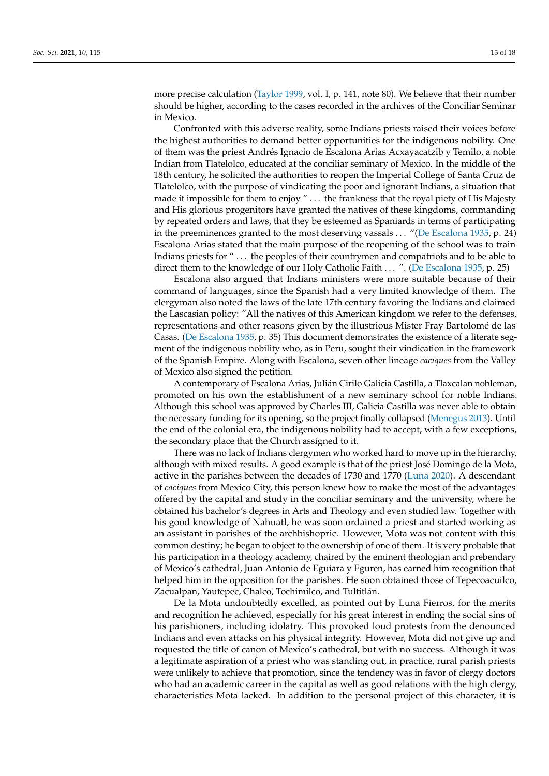more precise calculation [\(Taylor](#page-17-8) [1999,](#page-17-8) vol. I, p. 141, note 80). We believe that their number should be higher, according to the cases recorded in the archives of the Conciliar Seminar in Mexico.

Confronted with this adverse reality, some Indians priests raised their voices before the highest authorities to demand better opportunities for the indigenous nobility. One of them was the priest Andrés Ignacio de Escalona Arias Acxayacatzib y Temilo, a noble Indian from Tlatelolco, educated at the conciliar seminary of Mexico. In the middle of the 18th century, he solicited the authorities to reopen the Imperial College of Santa Cruz de Tlatelolco, with the purpose of vindicating the poor and ignorant Indians, a situation that made it impossible for them to enjoy " . . . the frankness that the royal piety of His Majesty and His glorious progenitors have granted the natives of these kingdoms, commanding by repeated orders and laws, that they be esteemed as Spaniards in terms of participating in the preeminences granted to the most deserving vassals . . . "[\(De Escalona](#page-15-24) [1935,](#page-15-24) p. 24) Escalona Arias stated that the main purpose of the reopening of the school was to train Indians priests for " . . . the peoples of their countrymen and compatriots and to be able to direct them to the knowledge of our Holy Catholic Faith . . . ". [\(De Escalona](#page-15-24) [1935,](#page-15-24) p. 25)

Escalona also argued that Indians ministers were more suitable because of their command of languages, since the Spanish had a very limited knowledge of them. The clergyman also noted the laws of the late 17th century favoring the Indians and claimed the Lascasian policy: "All the natives of this American kingdom we refer to the defenses, representations and other reasons given by the illustrious Mister Fray Bartolomé de las Casas. [\(De Escalona](#page-15-24) [1935,](#page-15-24) p. 35) This document demonstrates the existence of a literate segment of the indigenous nobility who, as in Peru, sought their vindication in the framework of the Spanish Empire. Along with Escalona, seven other lineage *caciques* from the Valley of Mexico also signed the petition.

A contemporary of Escalona Arias, Julián Cirilo Galicia Castilla, a Tlaxcalan nobleman, promoted on his own the establishment of a new seminary school for noble Indians. Although this school was approved by Charles III, Galicia Castilla was never able to obtain the necessary funding for its opening, so the project finally collapsed [\(Menegus](#page-16-4) [2013\)](#page-16-4). Until the end of the colonial era, the indigenous nobility had to accept, with a few exceptions, the secondary place that the Church assigned to it.

There was no lack of Indians clergymen who worked hard to move up in the hierarchy, although with mixed results. A good example is that of the priest José Domingo de la Mota, active in the parishes between the decades of 1730 and 1770 [\(Luna](#page-16-23) [2020\)](#page-16-23). A descendant of *caciques* from Mexico City, this person knew how to make the most of the advantages offered by the capital and study in the conciliar seminary and the university, where he obtained his bachelor's degrees in Arts and Theology and even studied law. Together with his good knowledge of Nahuatl, he was soon ordained a priest and started working as an assistant in parishes of the archbishopric. However, Mota was not content with this common destiny; he began to object to the ownership of one of them. It is very probable that his participation in a theology academy, chaired by the eminent theologian and prebendary of Mexico's cathedral, Juan Antonio de Eguiara y Eguren, has earned him recognition that helped him in the opposition for the parishes. He soon obtained those of Tepecoacuilco, Zacualpan, Yautepec, Chalco, Tochimilco, and Tultitlán.

De la Mota undoubtedly excelled, as pointed out by Luna Fierros, for the merits and recognition he achieved, especially for his great interest in ending the social sins of his parishioners, including idolatry. This provoked loud protests from the denounced Indians and even attacks on his physical integrity. However, Mota did not give up and requested the title of canon of Mexico's cathedral, but with no success. Although it was a legitimate aspiration of a priest who was standing out, in practice, rural parish priests were unlikely to achieve that promotion, since the tendency was in favor of clergy doctors who had an academic career in the capital as well as good relations with the high clergy, characteristics Mota lacked. In addition to the personal project of this character, it is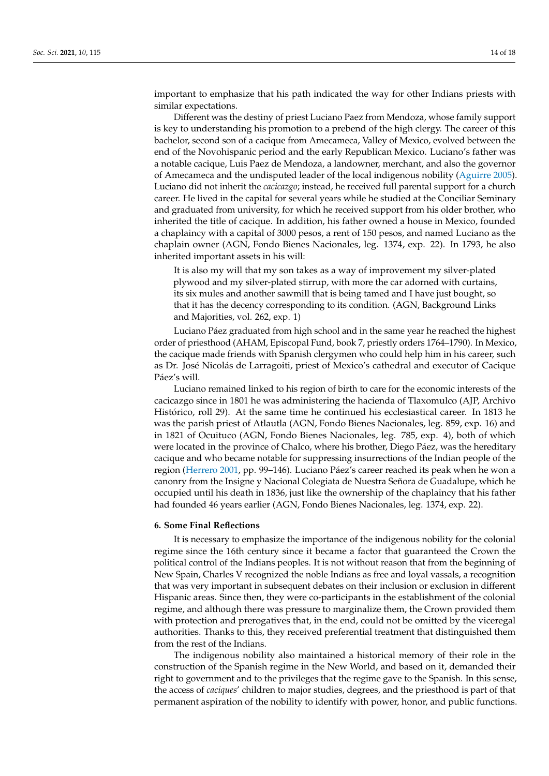important to emphasize that his path indicated the way for other Indians priests with similar expectations.

Different was the destiny of priest Luciano Paez from Mendoza, whose family support is key to understanding his promotion to a prebend of the high clergy. The career of this bachelor, second son of a cacique from Amecameca, Valley of Mexico, evolved between the end of the Novohispanic period and the early Republican Mexico. Luciano's father was a notable cacique, Luis Paez de Mendoza, a landowner, merchant, and also the governor of Amecameca and the undisputed leader of the local indigenous nobility [\(Aguirre](#page-15-25) [2005\)](#page-15-25). Luciano did not inherit the *cacicazgo*; instead, he received full parental support for a church career. He lived in the capital for several years while he studied at the Conciliar Seminary and graduated from university, for which he received support from his older brother, who inherited the title of cacique. In addition, his father owned a house in Mexico, founded a chaplaincy with a capital of 3000 pesos, a rent of 150 pesos, and named Luciano as the chaplain owner (AGN, Fondo Bienes Nacionales, leg. 1374, exp. 22). In 1793, he also inherited important assets in his will:

It is also my will that my son takes as a way of improvement my silver-plated plywood and my silver-plated stirrup, with more the car adorned with curtains, its six mules and another sawmill that is being tamed and I have just bought, so that it has the decency corresponding to its condition. (AGN, Background Links and Majorities, vol. 262, exp. 1)

Luciano Páez graduated from high school and in the same year he reached the highest order of priesthood (AHAM, Episcopal Fund, book 7, priestly orders 1764–1790). In Mexico, the cacique made friends with Spanish clergymen who could help him in his career, such as Dr. José Nicolás de Larragoiti, priest of Mexico's cathedral and executor of Cacique Páez's will.

Luciano remained linked to his region of birth to care for the economic interests of the cacicazgo since in 1801 he was administering the hacienda of Tlaxomulco (AJP, Archivo Histórico, roll 29). At the same time he continued his ecclesiastical career. In 1813 he was the parish priest of Atlautla (AGN, Fondo Bienes Nacionales, leg. 859, exp. 16) and in 1821 of Ocuituco (AGN, Fondo Bienes Nacionales, leg. 785, exp. 4), both of which were located in the province of Chalco, where his brother, Diego Páez, was the hereditary cacique and who became notable for suppressing insurrections of the Indian people of the region [\(Herrero](#page-16-24) [2001,](#page-16-24) pp. 99–146). Luciano Páez's career reached its peak when he won a canonry from the Insigne y Nacional Colegiata de Nuestra Señora de Guadalupe, which he occupied until his death in 1836, just like the ownership of the chaplaincy that his father had founded 46 years earlier (AGN, Fondo Bienes Nacionales, leg. 1374, exp. 22).

#### **6. Some Final Reflections**

It is necessary to emphasize the importance of the indigenous nobility for the colonial regime since the 16th century since it became a factor that guaranteed the Crown the political control of the Indians peoples. It is not without reason that from the beginning of New Spain, Charles V recognized the noble Indians as free and loyal vassals, a recognition that was very important in subsequent debates on their inclusion or exclusion in different Hispanic areas. Since then, they were co-participants in the establishment of the colonial regime, and although there was pressure to marginalize them, the Crown provided them with protection and prerogatives that, in the end, could not be omitted by the viceregal authorities. Thanks to this, they received preferential treatment that distinguished them from the rest of the Indians.

The indigenous nobility also maintained a historical memory of their role in the construction of the Spanish regime in the New World, and based on it, demanded their right to government and to the privileges that the regime gave to the Spanish. In this sense, the access of *caciques*' children to major studies, degrees, and the priesthood is part of that permanent aspiration of the nobility to identify with power, honor, and public functions.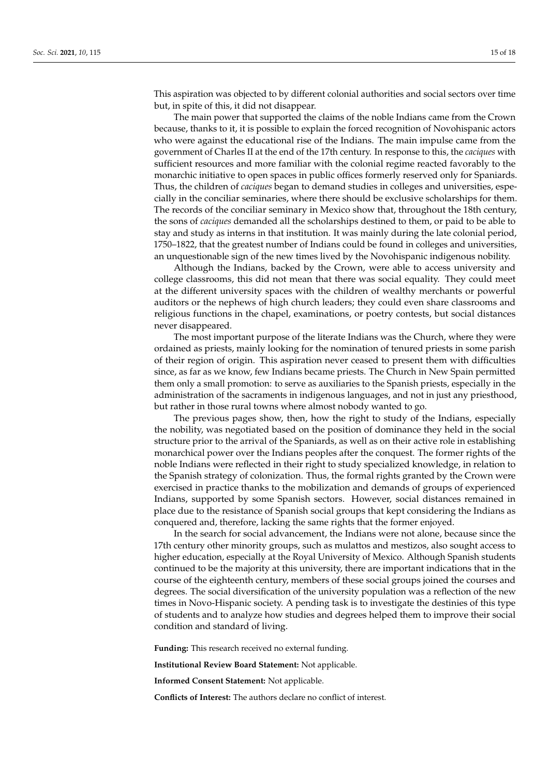This aspiration was objected to by different colonial authorities and social sectors over time but, in spite of this, it did not disappear.

The main power that supported the claims of the noble Indians came from the Crown because, thanks to it, it is possible to explain the forced recognition of Novohispanic actors who were against the educational rise of the Indians. The main impulse came from the government of Charles II at the end of the 17th century. In response to this, the *caciques* with sufficient resources and more familiar with the colonial regime reacted favorably to the monarchic initiative to open spaces in public offices formerly reserved only for Spaniards. Thus, the children of *caciques* began to demand studies in colleges and universities, especially in the conciliar seminaries, where there should be exclusive scholarships for them. The records of the conciliar seminary in Mexico show that, throughout the 18th century, the sons of *caciques* demanded all the scholarships destined to them, or paid to be able to stay and study as interns in that institution. It was mainly during the late colonial period, 1750–1822, that the greatest number of Indians could be found in colleges and universities, an unquestionable sign of the new times lived by the Novohispanic indigenous nobility.

Although the Indians, backed by the Crown, were able to access university and college classrooms, this did not mean that there was social equality. They could meet at the different university spaces with the children of wealthy merchants or powerful auditors or the nephews of high church leaders; they could even share classrooms and religious functions in the chapel, examinations, or poetry contests, but social distances never disappeared.

The most important purpose of the literate Indians was the Church, where they were ordained as priests, mainly looking for the nomination of tenured priests in some parish of their region of origin. This aspiration never ceased to present them with difficulties since, as far as we know, few Indians became priests. The Church in New Spain permitted them only a small promotion: to serve as auxiliaries to the Spanish priests, especially in the administration of the sacraments in indigenous languages, and not in just any priesthood, but rather in those rural towns where almost nobody wanted to go.

The previous pages show, then, how the right to study of the Indians, especially the nobility, was negotiated based on the position of dominance they held in the social structure prior to the arrival of the Spaniards, as well as on their active role in establishing monarchical power over the Indians peoples after the conquest. The former rights of the noble Indians were reflected in their right to study specialized knowledge, in relation to the Spanish strategy of colonization. Thus, the formal rights granted by the Crown were exercised in practice thanks to the mobilization and demands of groups of experienced Indians, supported by some Spanish sectors. However, social distances remained in place due to the resistance of Spanish social groups that kept considering the Indians as conquered and, therefore, lacking the same rights that the former enjoyed.

In the search for social advancement, the Indians were not alone, because since the 17th century other minority groups, such as mulattos and mestizos, also sought access to higher education, especially at the Royal University of Mexico. Although Spanish students continued to be the majority at this university, there are important indications that in the course of the eighteenth century, members of these social groups joined the courses and degrees. The social diversification of the university population was a reflection of the new times in Novo-Hispanic society. A pending task is to investigate the destinies of this type of students and to analyze how studies and degrees helped them to improve their social condition and standard of living.

**Funding:** This research received no external funding.

**Institutional Review Board Statement:** Not applicable.

**Informed Consent Statement:** Not applicable.

**Conflicts of Interest:** The authors declare no conflict of interest.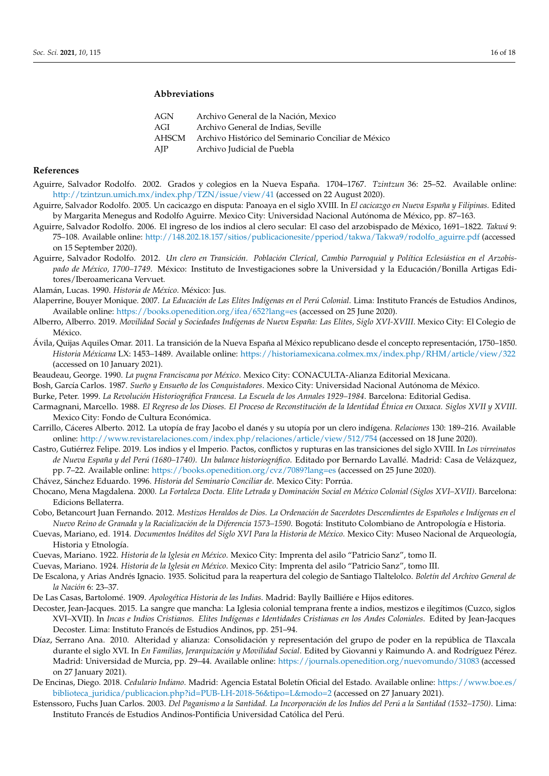# **Abbreviations**

| AGN   | Archivo General de la Nación, Mexico                |
|-------|-----------------------------------------------------|
| AGI   | Archivo General de Indias, Seville                  |
| AHSCM | Archivo Histórico del Seminario Conciliar de México |
| AJP   | Archivo Judicial de Puebla                          |

### **References**

- <span id="page-15-21"></span>Aguirre, Salvador Rodolfo. 2002. Grados y colegios en la Nueva España. 1704–1767. *Tzintzun* 36: 25–52. Available online: <http://tzintzun.umich.mx/index.php/TZN/issue/view/41> (accessed on 22 August 2020).
- <span id="page-15-25"></span>Aguirre, Salvador Rodolfo. 2005. Un cacicazgo en disputa: Panoaya en el siglo XVIII. In *El cacicazgo en Nueva España y Filipinas*. Edited by Margarita Menegus and Rodolfo Aguirre. Mexico City: Universidad Nacional Autónoma de México, pp. 87–163.
- <span id="page-15-3"></span>Aguirre, Salvador Rodolfo. 2006. El ingreso de los indios al clero secular: El caso del arzobispado de México, 1691–1822. *Takwá* 9: 75–108. Available online: [http://148.202.18.157/sitios/publicacionesite/pperiod/takwa/Takwa9/rodolfo\\_aguirre.pdf](http://148.202.18.157/sitios/publicacionesite/pperiod/takwa/Takwa9/rodolfo_aguirre.pdf) (accessed on 15 September 2020).
- <span id="page-15-20"></span>Aguirre, Salvador Rodolfo. 2012. *Un clero en Transición. Población Clerical, Cambio Parroquial y Política Eclesiástica en el Arzobispado de México, 1700–1749*. México: Instituto de Investigaciones sobre la Universidad y la Educación/Bonilla Artigas Editores/Iberoamericana Vervuet.
- <span id="page-15-23"></span>Alamán, Lucas. 1990. *Historia de México*. México: Jus.
- <span id="page-15-4"></span>Alaperrine, Bouyer Monique. 2007. *La Educación de Las Elites Indígenas en el Perú Colonial*. Lima: Instituto Francés de Estudios Andinos, Available online: <https://books.openedition.org/ifea/652?lang=es> (accessed on 25 June 2020).
- <span id="page-15-22"></span>Alberro, Alberro. 2019. *Movilidad Social y Sociedades Indígenas de Nueva España: Las Elites, Siglo XVI-XVIII*. Mexico City: El Colegio de México.
- <span id="page-15-9"></span>Ávila, Quijas Aquiles Omar. 2011. La transición de la Nueva España al México republicano desde el concepto representación, 1750–1850. *Historia Méxicana* LX: 1453–1489. Available online: <https://historiamexicana.colmex.mx/index.php/RHM/article/view/322> (accessed on 10 January 2021).
- <span id="page-15-11"></span>Beaudeau, George. 1990. *La pugna Franciscana por México*. Mexico City: CONACULTA-Alianza Editorial Mexicana.
- <span id="page-15-10"></span>Bosh, García Carlos. 1987. *Sueño y Ensueño de los Conquistadores*. Mexico City: Universidad Nacional Autónoma de México.
- <span id="page-15-8"></span>Burke, Peter. 1999. *La Revolución Historiográfica Francesa. La Escuela de los Annales 1929–1984*. Barcelona: Editorial Gedisa.
- <span id="page-15-17"></span>Carmagnani, Marcello. 1988. *El Regreso de los Dioses. El Proceso de Reconstitución de la Identidad Étnica en Oaxaca. Siglos XVII y XVIII*. Mexico City: Fondo de Cultura Económica.
- <span id="page-15-6"></span>Carrillo, Cáceres Alberto. 2012. La utopía de fray Jacobo el danés y su utopía por un clero indígena. *Relaciones* 130: 189–216. Available online: <http://www.revistarelaciones.com/index.php/relaciones/article/view/512/754> (accessed on 18 June 2020).
- <span id="page-15-19"></span>Castro, Gutiérrez Felipe. 2019. Los indios y el Imperio. Pactos, conflictos y rupturas en las transiciones del siglo XVIII. In *Los virreinatos de Nueva España y del Perú (1680–1740). Un balance historiográfico*. Editado por Bernardo Lavallé. Madrid: Casa de Velázquez, pp. 7–22. Available online: <https://books.openedition.org/cvz/7089?lang=es> (accessed on 25 June 2020).
- <span id="page-15-18"></span>Chávez, Sánchez Eduardo. 1996. *Historia del Seminario Conciliar de*. Mexico City: Porrúa.
- <span id="page-15-16"></span>Chocano, Mena Magdalena. 2000. *La Fortaleza Docta. Elite Letrada y Dominación Social en México Colonial (Siglos XVI–XVII)*. Barcelona: Edicions Bellaterra.
- <span id="page-15-5"></span>Cobo, Betancourt Juan Fernando. 2012. *Mestizos Heraldos de Dios. La Ordenación de Sacerdotes Descendientes de Españoles e Indígenas en el Nuevo Reino de Granada y la Racialización de la Diferencia 1573–1590*. Bogotá: Instituto Colombiano de Antropología e Historia.
- <span id="page-15-15"></span>Cuevas, Mariano, ed. 1914. *Documentos Inéditos del Siglo XVI Para la Historia de México*. Mexico City: Museo Nacional de Arqueología, Historia y Etnología.
- <span id="page-15-0"></span>Cuevas, Mariano. 1922. *Historia de la Iglesia en México*. Mexico City: Imprenta del asilo "Patricio Sanz", tomo II.
- <span id="page-15-1"></span>Cuevas, Mariano. 1924. *Historia de la Iglesia en México*. Mexico City: Imprenta del asilo "Patricio Sanz", tomo III.
- <span id="page-15-24"></span>De Escalona, y Arias Andrés Ignacio. 1935. Solicitud para la reapertura del colegio de Santiago Tlaltelolco. *Boletín del Archivo General de la Nación* 6: 23–37.
- <span id="page-15-13"></span>De Las Casas, Bartolomé. 1909. *Apologética Historia de las Indias*. Madrid: Baylly Bailliére e Hijos editores.
- <span id="page-15-7"></span>Decoster, Jean-Jacques. 2015. La sangre que mancha: La Iglesia colonial temprana frente a indios, mestizos e ilegítimos (Cuzco, siglos XVI–XVII). In *Incas e Indios Cristianos. Elites Indígenas e Identidades Cristianas en los Andes Coloniales*. Edited by Jean-Jacques Decoster. Lima: Instituto Francés de Estudios Andinos, pp. 251–94.
- <span id="page-15-14"></span>Díaz, Serrano Ana. 2010. Alteridad y alianza: Consolidación y representación del grupo de poder en la república de Tlaxcala durante el siglo XVI. In *En Familias, Jerarquización y Movilidad Social*. Edited by Giovanni y Raimundo A. and Rodríguez Pérez. Madrid: Universidad de Murcia, pp. 29–44. Available online: <https://journals.openedition.org/nuevomundo/31083> (accessed on 27 January 2021).
- <span id="page-15-12"></span>De Encinas, Diego. 2018. *Cedulario Indiano*. Madrid: Agencia Estatal Boletín Oficial del Estado. Available online: [https://www.boe.es/](https://www.boe.es/biblioteca_juridica/publicacion.php?id=PUB-LH-2018-56&tipo=L&modo=2) [biblioteca\\_juridica/publicacion.php?id=PUB-LH-2018-56&tipo=L&modo=2](https://www.boe.es/biblioteca_juridica/publicacion.php?id=PUB-LH-2018-56&tipo=L&modo=2) (accessed on 27 January 2021).
- <span id="page-15-2"></span>Estenssoro, Fuchs Juan Carlos. 2003. *Del Paganismo a la Santidad. La Incorporación de los Indios del Perú a la Santidad (1532–1750)*. Lima: Instituto Francés de Estudios Andinos-Pontificia Universidad Católica del Perú.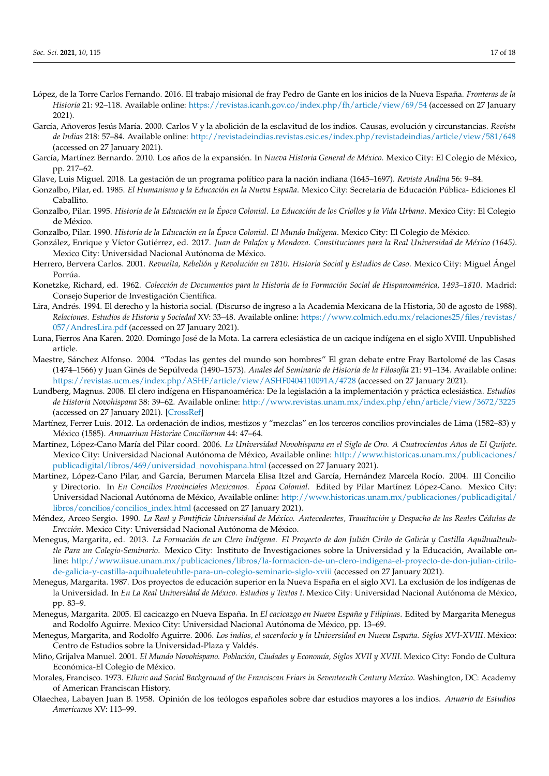- <span id="page-16-10"></span>López, de la Torre Carlos Fernando. 2016. El trabajo misional de fray Pedro de Gante en los inicios de la Nueva España. *Fronteras de la Historia* 21: 92–118. Available online: <https://revistas.icanh.gov.co/index.php/fh/article/view/69/54> (accessed on 27 January 2021).
- <span id="page-16-8"></span>García, Añoveros Jesús María. 2000. Carlos V y la abolición de la esclavitud de los indios. Causas, evolución y circunstancias. *Revista de Indias* 218: 57–84. Available online: <http://revistadeindias.revistas.csic.es/index.php/revistadeindias/article/view/581/648> (accessed on 27 January 2021).
- <span id="page-16-15"></span>García, Martínez Bernardo. 2010. Los años de la expansión. In *Nueva Historia General de México*. Mexico City: El Colegio de México, pp. 217–62.
- <span id="page-16-5"></span>Glave, Luis Miguel. 2018. La gestación de un programa político para la nación indiana (1645–1697). *Revista Andina* 56: 9–84.
- <span id="page-16-14"></span>Gonzalbo, Pilar, ed. 1985. *El Humanismo y la Educación en la Nueva España*. Mexico City: Secretaría de Educación Pública- Ediciones El Caballito.
- <span id="page-16-12"></span>Gonzalbo, Pilar. 1995. *Historia de la Educación en la Época Colonial. La Educación de los Criollos y la Vida Urbana*. Mexico City: El Colegio de México.
- <span id="page-16-0"></span>Gonzalbo, Pilar. 1990. *Historia de la Educación en la Época Colonial. El Mundo Indígena*. Mexico City: El Colegio de México.
- <span id="page-16-20"></span>González, Enrique y Víctor Gutiérrez, ed. 2017. *Juan de Palafox y Mendoza. Constituciones para la Real Universidad de México (1645)*. Mexico City: Universidad Nacional Autónoma de México.
- <span id="page-16-24"></span>Herrero, Bervera Carlos. 2001. *Revuelta, Rebelión y Revolución en 1810. Historia Social y Estudios de Caso*. Mexico City: Miguel Ángel Porrúa.
- <span id="page-16-22"></span>Konetzke, Richard, ed. 1962. *Colección de Documentos para la Historia de la Formación Social de Hispanoamérica, 1493–1810*. Madrid: Consejo Superior de Investigación Científica.
- <span id="page-16-7"></span>Lira, Andrés. 1994. El derecho y la historia social. (Discurso de ingreso a la Academia Mexicana de la Historia, 30 de agosto de 1988). *Relaciones. Estudios de Historia y Sociedad* XV: 33–48. Available online: [https://www.colmich.edu.mx/relaciones25/files/revistas/](https://www.colmich.edu.mx/relaciones25/files/revistas/057/AndresLira.pdf) [057/AndresLira.pdf](https://www.colmich.edu.mx/relaciones25/files/revistas/057/AndresLira.pdf) (accessed on 27 January 2021).
- <span id="page-16-23"></span>Luna, Fierros Ana Karen. 2020. Domingo José de la Mota. La carrera eclesiástica de un cacique indígena en el siglo XVIII. Unpublished article.
- <span id="page-16-9"></span>Maestre, Sánchez Alfonso. 2004. "Todas las gentes del mundo son hombres" El gran debate entre Fray Bartolomé de las Casas (1474–1566) y Juan Ginés de Sepúlveda (1490–1573). *Anales del Seminario de Historia de la Filosofía* 21: 91–134. Available online: <https://revistas.ucm.es/index.php/ASHF/article/view/ASHF0404110091A/4728> (accessed on 27 January 2021).
- <span id="page-16-2"></span>Lundberg, Magnus. 2008. El clero indígena en Hispanoamérica: De la legislación a la implementación y práctica eclesiástica. *Estudios de Historia Novohispana* 38: 39–62. Available online: <http://www.revistas.unam.mx/index.php/ehn/article/view/3672/3225> (accessed on 27 January 2021). [\[CrossRef\]](http://doi.org/10.22201/iih.24486922e.2008.038.3672)
- <span id="page-16-3"></span>Martínez, Ferrer Luis. 2012. La ordenación de indios, mestizos y "mezclas" en los terceros concilios provinciales de Lima (1582–83) y México (1585). *Annuarium Historiae Conciliorum* 44: 47–64.
- <span id="page-16-16"></span>Martínez, López-Cano María del Pilar coord. 2006. *La Universidad Novohispana en el Siglo de Oro. A Cuatrocientos Años de El Quijote*. Mexico City: Universidad Nacional Autónoma de México, Available online: [http://www.historicas.unam.mx/publicaciones/](http://www.historicas.unam.mx/publicaciones/publicadigital/libros/469/universidad_novohispana.html) [publicadigital/libros/469/universidad\\_novohispana.html](http://www.historicas.unam.mx/publicaciones/publicadigital/libros/469/universidad_novohispana.html) (accessed on 27 January 2021).
- <span id="page-16-17"></span>Martínez, López-Cano Pilar, and García, Berumen Marcela Elisa Itzel and García, Hernández Marcela Rocío. 2004. III Concilio y Directorio. In *En Concilios Provinciales Mexicanos. Época Colonial*. Edited by Pilar Martínez López-Cano. Mexico City: Universidad Nacional Autónoma de México, Available online: [http://www.historicas.unam.mx/publicaciones/publicadigital/](http://www.historicas.unam.mx/publicaciones/publicadigital/libros/concilios/concilios_index.html) [libros/concilios/concilios\\_index.html](http://www.historicas.unam.mx/publicaciones/publicadigital/libros/concilios/concilios_index.html) (accessed on 27 January 2021).
- <span id="page-16-13"></span>Méndez, Arceo Sergio. 1990. *La Real y Pontificia Universidad de México. Antecedentes, Tramitación y Despacho de las Reales Cédulas de Erección*. Mexico City: Universidad Nacional Autónoma de México.
- <span id="page-16-4"></span>Menegus, Margarita, ed. 2013. *La Formación de un Clero Indígena. El Proyecto de don Julián Cirilo de Galicia y Castilla Aquihualteuhtle Para un Colegio-Seminario*. Mexico City: Instituto de Investigaciones sobre la Universidad y la Educación, Available online: [http://www.iisue.unam.mx/publicaciones/libros/la-formacion-de-un-clero-indigena-el-proyecto-de-don-julian-cirilo](http://www.iisue.unam.mx/publicaciones/libros/la-formacion-de-un-clero-indigena-el-proyecto-de-don-julian-cirilo-de-galicia-y-castilla-aquihualeteuhtle-para-un-colegio-seminario-siglo-xviii)[de-galicia-y-castilla-aquihualeteuhtle-para-un-colegio-seminario-siglo-xviii](http://www.iisue.unam.mx/publicaciones/libros/la-formacion-de-un-clero-indigena-el-proyecto-de-don-julian-cirilo-de-galicia-y-castilla-aquihualeteuhtle-para-un-colegio-seminario-siglo-xviii) (accessed on 27 January 2021).
- <span id="page-16-11"></span>Menegus, Margarita. 1987. Dos proyectos de educación superior en la Nueva España en el siglo XVI. La exclusión de los indígenas de la Universidad. In *En La Real Universidad de México. Estudios y Textos I*. Mexico City: Universidad Nacional Autónoma de México, pp. 83–9.
- <span id="page-16-6"></span>Menegus, Margarita. 2005. El cacicazgo en Nueva España. In *El cacicazgo en Nueva España y Filipinas*. Edited by Margarita Menegus and Rodolfo Aguirre. Mexico City: Universidad Nacional Autónoma de México, pp. 13–69.
- <span id="page-16-1"></span>Menegus, Margarita, and Rodolfo Aguirre. 2006. *Los indios, el sacerdocio y la Universidad en Nueva España. Siglos XVI-XVIII*. México: Centro de Estudios sobre la Universidad-Plaza y Valdés.
- <span id="page-16-21"></span>Miño, Grijalva Manuel. 2001. *El Mundo Novohispano. Población, Ciudades y Economía, Siglos XVII y XVIII*. Mexico City: Fondo de Cultura Económica-El Colegio de México.
- <span id="page-16-19"></span>Morales, Francisco. 1973. *Ethnic and Social Background of the Franciscan Friars in Seventeenth Century Mexico*. Washington, DC: Academy of American Franciscan History.
- <span id="page-16-18"></span>Olaechea, Labayen Juan B. 1958. Opinión de los teólogos españoles sobre dar estudios mayores a los indios. *Anuario de Estudios Americanos* XV: 113–99.